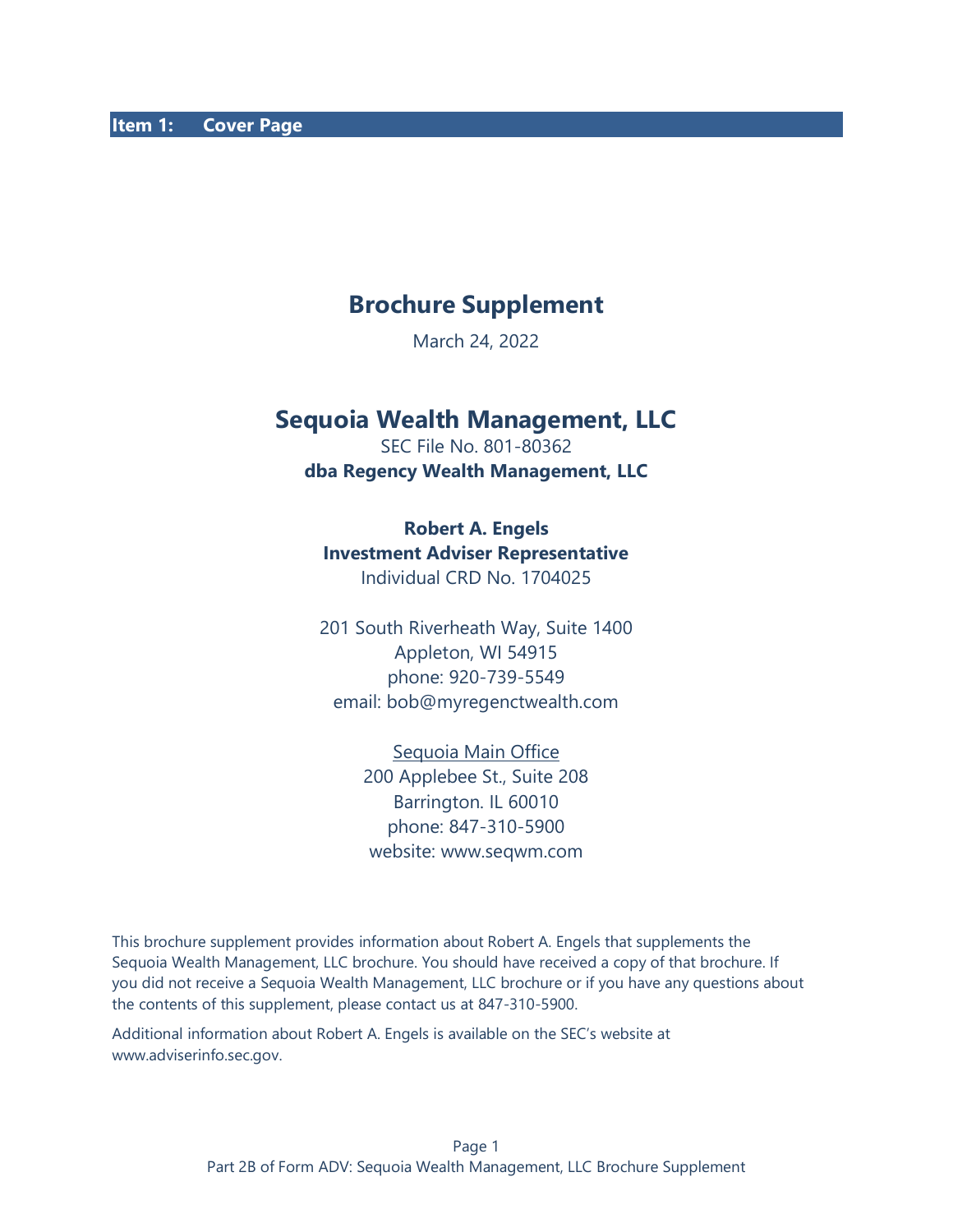# **Brochure Supplement**

March 24, 2022

# **Sequoia Wealth Management, LLC**

SEC File No. 801-80362 **dba Regency Wealth Management, LLC**

#### **Robert A. Engels**

#### **Investment Adviser Representative**

Individual CRD No. 1704025

201 South Riverheath Way, Suite 1400 Appleton, WI 54915 phone: 920-739-5549 email: bob@myregenctwealth.com

Sequoia Main Office

200 Applebee St., Suite 208 Barrington. IL 60010 phone: 847-310-5900 website: www.seqwm.com

This brochure supplement provides information about Robert A. Engels that supplements the Sequoia Wealth Management, LLC brochure. You should have received a copy of that brochure. If you did not receive a Sequoia Wealth Management, LLC brochure or if you have any questions about the contents of this supplement, please contact us at 847-310-5900.

Additional information about Robert A. Engels is available on the SEC's website at [www.adviserinfo.sec.gov.](about:blank)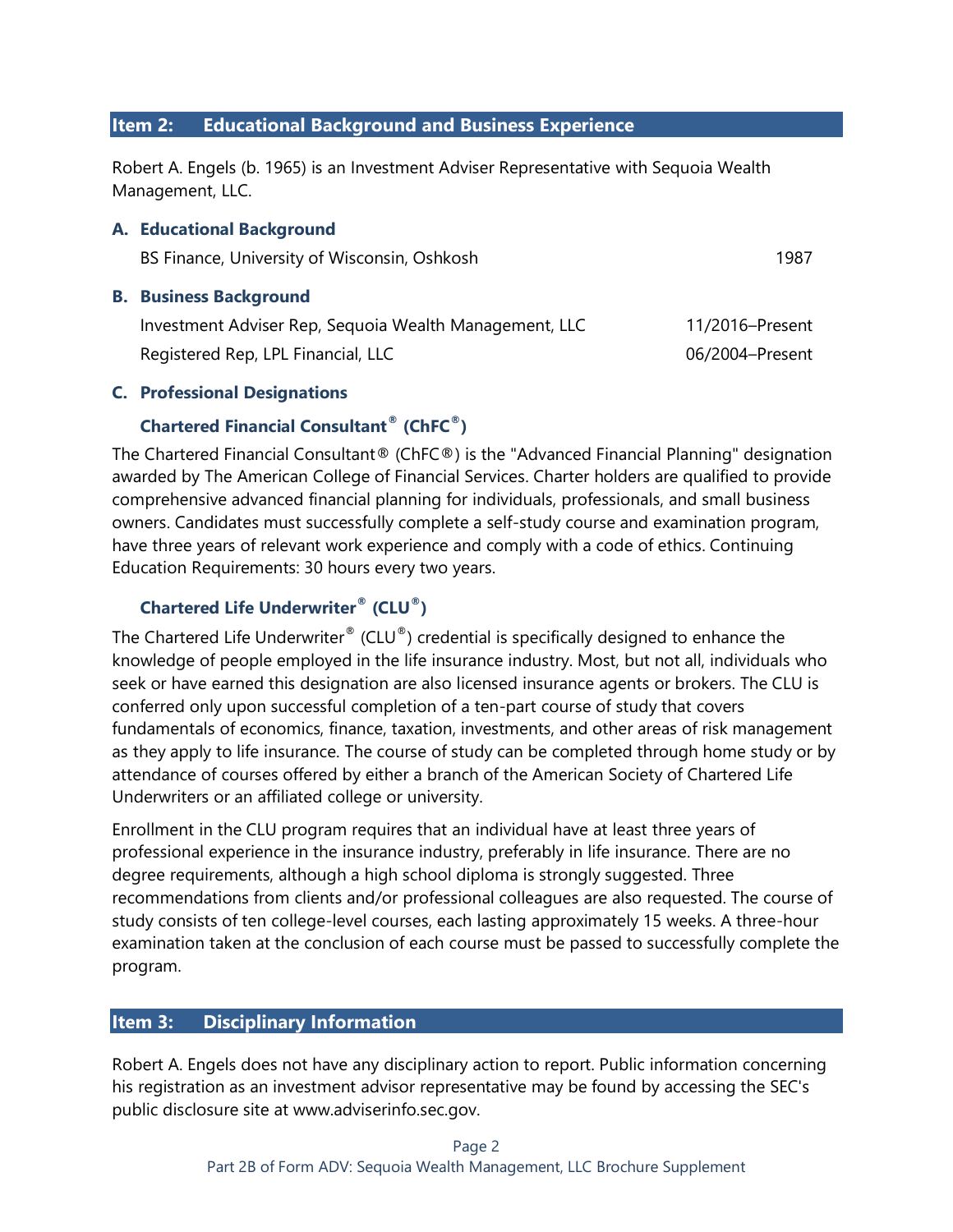### **Item 2: Educational Background and Business Experience**

Robert A. Engels (b. 1965) is an Investment Adviser Representative with Sequoia Wealth Management, LLC.

### **A. Educational Background**

| BS Finance, University of Wisconsin, Oshkosh | 1987 |
|----------------------------------------------|------|
|                                              |      |

#### **B. Business Background**

| Investment Adviser Rep, Sequoia Wealth Management, LLC | 11/2016-Present |
|--------------------------------------------------------|-----------------|
| Registered Rep, LPL Financial, LLC                     | 06/2004-Present |

### **C. Professional Designations**

# **Chartered Financial Consultant® (ChFC®)**

The Chartered Financial Consultant® (ChFC®) is the "Advanced Financial Planning" designation awarded by [The American College of Financial Services.](https://en.wikipedia.org/wiki/The_American_College_of_Financial_Services) Charter holders are qualified to provide comprehensive advanced [financial planning](https://en.wikipedia.org/wiki/Financial_planning) for individuals, professionals, and [small business](https://en.wikipedia.org/wiki/Small_business_owner)  [owners.](https://en.wikipedia.org/wiki/Small_business_owner) Candidates must successfully complete a self-study course and examination program, have three years of relevant work experience and comply with a code of ethics. Continuing Education Requirements: 30 hours every two years.

# **Chartered Life Underwriter® (CLU®)**

The Chartered Life Underwriter® (CLU®) credential is specifically designed to enhance the knowledge of people employed in the life insurance industry. Most, but not all, individuals who seek or have earned this designation are also licensed insurance agents or brokers. The CLU is conferred only upon successful completion of a ten-part course of study that covers fundamentals of economics, finance, taxation, investments, and other areas of risk management as they apply to life insurance. The course of study can be completed through home study or by attendance of courses offered by either a branch of the American Society of Chartered Life Underwriters or an affiliated college or university.

Enrollment in the CLU program requires that an individual have at least three years of professional experience in the insurance industry, preferably in life insurance. There are no degree requirements, although a high school diploma is strongly suggested. Three recommendations from clients and/or professional colleagues are also requested. The course of study consists of ten college-level courses, each lasting approximately 15 weeks. A three-hour examination taken at the conclusion of each course must be passed to successfully complete the program.

## **Item 3: Disciplinary Information**

Robert A. Engels does not have any disciplinary action to report. Public information concerning his registration as an investment advisor representative may be found by accessing the SEC's public disclosure site at www.adviserinfo.sec.gov.